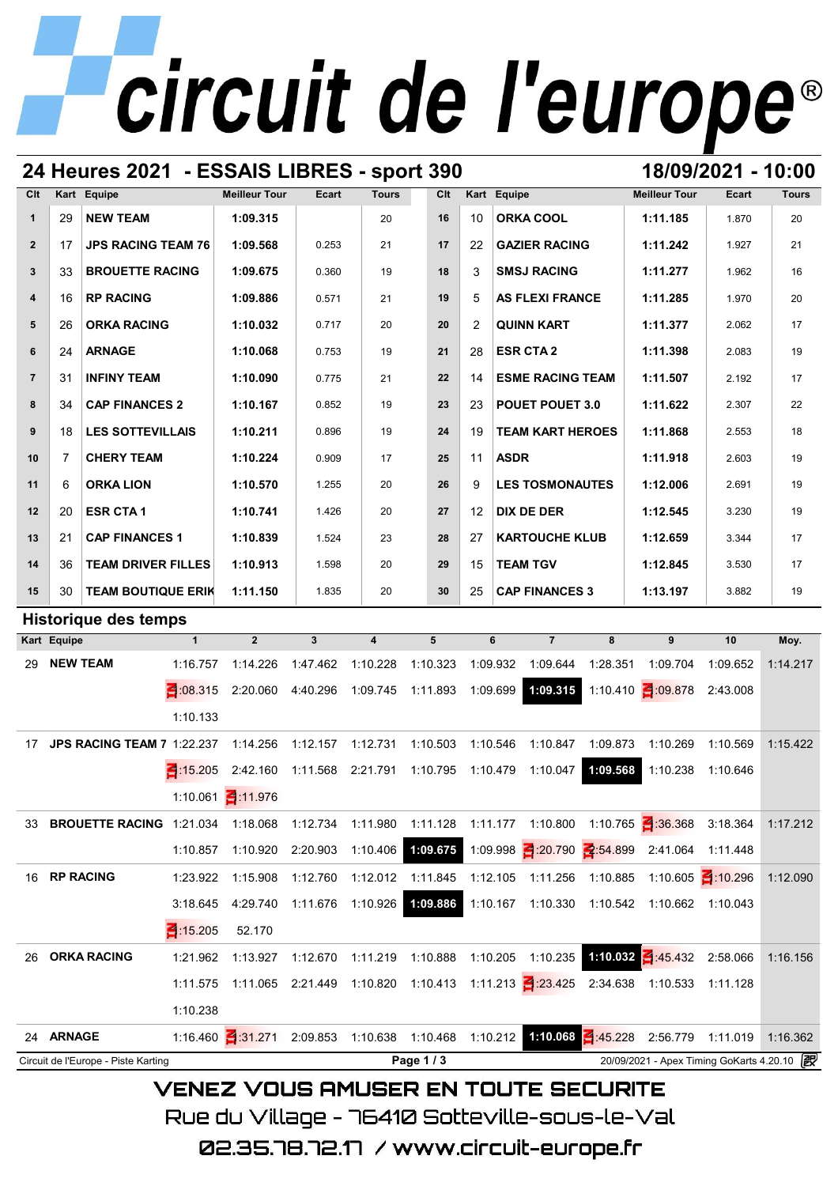# **24 Heures 2021 - ESSAIS LIBRES - sport 390 18/09/2021 - 10:00**

| Clt            |                 | Kart Equipe                                                                                                           |              | <b>Meilleur Tour</b>                                                                      | Ecart                      | <b>Tours</b>            | Clt      |                | Kart Equipe |                              |          | <b>Meilleur Tour</b>                              | Ecart    | <b>Tours</b> |
|----------------|-----------------|-----------------------------------------------------------------------------------------------------------------------|--------------|-------------------------------------------------------------------------------------------|----------------------------|-------------------------|----------|----------------|-------------|------------------------------|----------|---------------------------------------------------|----------|--------------|
| $\mathbf{1}$   | 29              | <b>NEW TEAM</b>                                                                                                       |              | 1:09.315                                                                                  |                            | 20                      | 16       | 10             |             | <b>ORKA COOL</b>             |          | 1:11.185                                          | 1.870    | 20           |
| $\mathbf{2}$   | 17              | <b>JPS RACING TEAM 76</b>                                                                                             |              | 1:09.568                                                                                  | 0.253                      | 21                      | 17       | 22             |             | <b>GAZIER RACING</b>         |          | 1:11.242                                          | 1.927    | 21           |
| 3              | 33              | <b>BROUETTE RACING</b>                                                                                                |              | 1:09.675                                                                                  | 0.360                      | 19                      | 18       | 3              |             | <b>SMSJ RACING</b>           |          | 1:11.277                                          | 1.962    | 16           |
| 4              | 16              | <b>RP RACING</b>                                                                                                      |              | 1:09.886                                                                                  | 0.571                      | 21                      | 19       | 5              |             | <b>AS FLEXI FRANCE</b>       |          | 1:11.285                                          | 1.970    | 20           |
| 5              | 26              | <b>ORKA RACING</b>                                                                                                    |              | 1:10.032                                                                                  | 0.717                      | 20                      | 20       | $\overline{2}$ |             | <b>QUINN KART</b>            |          | 1:11.377                                          | 2.062    | 17           |
| 6              | 24              | <b>ARNAGE</b>                                                                                                         |              | 1:10.068                                                                                  | 0.753                      | 19                      | 21       | 28             |             | <b>ESR CTA 2</b>             |          | 1:11.398                                          | 2.083    | 19           |
| $\overline{7}$ | 31              | <b>INFINY TEAM</b>                                                                                                    |              | 1:10.090                                                                                  | 0.775                      | 21                      | 22       | 14             |             | <b>ESME RACING TEAM</b>      |          | 1:11.507                                          | 2.192    | 17           |
| 8              | 34              | <b>CAP FINANCES 2</b>                                                                                                 |              | 1:10.167                                                                                  | 0.852                      | 19                      | 23       | 23             |             | <b>POUET POUET 3.0</b>       |          | 1:11.622                                          | 2.307    | 22           |
| 9              | 18              | <b>LES SOTTEVILLAIS</b>                                                                                               |              | 1:10.211                                                                                  | 0.896                      | 19                      | 24       | 19             |             | <b>TEAM KART HEROES</b>      |          | 1:11.868                                          | 2.553    | 18           |
| 10             | 7               | <b>CHERY TEAM</b>                                                                                                     |              | 1:10.224                                                                                  | 0.909                      | 17                      | 25       | 11             | <b>ASDR</b> |                              |          | 1:11.918                                          | 2.603    | 19           |
| 11             | 6               | <b>ORKA LION</b>                                                                                                      |              | 1:10.570                                                                                  | 1.255                      | 20                      | 26       | 9              |             | <b>LES TOSMONAUTES</b>       |          | 1:12.006                                          | 2.691    | 19           |
| 12             | 20              | <b>ESR CTA1</b>                                                                                                       |              | 1:10.741                                                                                  | 1.426                      | 20                      | 27       | 12             |             | <b>DIX DE DER</b>            |          | 1:12.545                                          | 3.230    | 19           |
| 13             | 21              | <b>CAP FINANCES 1</b>                                                                                                 |              | 1:10.839                                                                                  | 1.524                      | 23                      | 28       | 27             |             | <b>KARTOUCHE KLUB</b>        |          | 1:12.659                                          | 3.344    | 17           |
| 14             | 36              | <b>TEAM DRIVER FILLES</b>                                                                                             |              | 1:10.913                                                                                  | 1.598                      | 20                      | 29       | 15             |             | <b>TEAM TGV</b>              |          | 1:12.845                                          | 3.530    | 17           |
| 15             | 30              | <b>TEAM BOUTIQUE ERIK</b>                                                                                             |              | 1:11.150                                                                                  | 1.835                      | 20                      | 30       | 25             |             | <b>CAP FINANCES 3</b>        |          | 1:13.197                                          | 3.882    | 19           |
|                |                 | <b>Historique des temps</b>                                                                                           |              |                                                                                           |                            |                         |          |                |             |                              |          |                                                   |          |              |
|                | Kart Equipe     |                                                                                                                       | $\mathbf{1}$ | $\overline{2}$                                                                            | $\overline{\mathbf{3}}$    | $\overline{\mathbf{4}}$ | 5        |                | 6           | $\overline{7}$               | 8        | 9                                                 | 10       | Moy.         |
| 29             | <b>NEW TEAM</b> |                                                                                                                       | 1:16.757     | 1:14.226                                                                                  | 1:47.462                   | 1:10.228                | 1:10.323 |                | 1:09.932    | 1:09.644                     | 1:28.351 | 1:09.704                                          | 1:09.652 | 1:14.217     |
|                |                 |                                                                                                                       | 315          | 2:20.060                                                                                  | 4:40.296                   | 1:09.745                | 1:11.893 |                | 1:09.699    | 1:09.315                     |          | 1:10.410 3:09.878                                 | 2:43.008 |              |
|                |                 |                                                                                                                       | 1:10.133     |                                                                                           |                            |                         |          |                |             |                              |          |                                                   |          |              |
| 17             |                 | <b>JPS RACING TEAM 7 1:22.237</b>                                                                                     |              | 1:14.256                                                                                  | 1:12.157                   | 1:12.731                | 1:10.503 |                | 1:10.546    | 1:10.847                     | 1:09.873 | 1:10.269                                          | 1:10.569 | 1:15.422     |
|                |                 |                                                                                                                       | 3 15 205     | 2:42.160                                                                                  | 1:11.568 2:21.791          |                         | 1:10.795 | 1:10.479       |             | 1:10.047                     | 1:09.568 | 1:10.238                                          | 1:10.646 |              |
|                |                 |                                                                                                                       |              | 1:10.061 1:11.976                                                                         |                            |                         |          |                |             |                              |          |                                                   |          |              |
|                |                 | 33 BROUETTE RACING 1:21.034 1:18.068 1:12.734 1:11.980 1:11.128 1:11.177 1:10.800 1:10.765 3:36.368 3:18.364 1:17.212 |              |                                                                                           |                            |                         |          |                |             |                              |          |                                                   |          |              |
|                |                 |                                                                                                                       | 1:10.857     |                                                                                           | 1:10.920 2:20.903 1:10.406 |                         |          |                |             |                              |          |                                                   |          |              |
|                |                 |                                                                                                                       |              |                                                                                           |                            |                         |          |                |             |                              |          |                                                   |          |              |
|                | 16 RP RACING    |                                                                                                                       | 1:23.922     | 1:15.908                                                                                  | 1:12.760                   | 1:12.012                | 1:11.845 |                |             |                              |          | 1:12.105 1:11.256 1:10.885 1:10.605 1:10.296      |          | 1:12.090     |
|                |                 |                                                                                                                       | 3:18.645     | 4:29.740                                                                                  | 1:11.676 1:10.926          |                         | 1:09.886 |                |             |                              |          | 1:10.167  1:10.330  1:10.542  1:10.662  1:10.043  |          |              |
|                |                 |                                                                                                                       | 415.205      | 52.170                                                                                    |                            |                         |          |                |             |                              |          |                                                   |          |              |
|                |                 | 26 ORKA RACING                                                                                                        | 1:21.962     | 1:13.927                                                                                  | 1:12.670                   | 1:11.219                |          |                |             | 1:10.888  1:10.205  1:10.235 |          | 1:10.032 4:45.432 2:58.066                        |          | 1:16.156     |
|                |                 |                                                                                                                       |              | 1:11.575 1:11.065 2:21.449 1:10.820 1:10.413 1:11.213 3:23.425 2:34.638 1:10.533 1:11.128 |                            |                         |          |                |             |                              |          |                                                   |          |              |
|                |                 |                                                                                                                       | 1:10.238     |                                                                                           |                            |                         |          |                |             |                              |          |                                                   |          |              |
|                | 24 ARNAGE       |                                                                                                                       |              | 1:16.460 4:31.271 2:09.853 1:10.638 1:10.468 1:10.212 1:10.068                            |                            |                         |          |                |             |                              |          | $4:45.228$ 2:56.779 1:11.019                      |          | 1:16.362     |
|                |                 | Circuit de l'Europe - Piste Karting                                                                                   |              |                                                                                           |                            |                         | Page 1/3 |                |             |                              |          | 20/09/2021 - Apex Timing GoKarts 4.20.10 <b>图</b> |          |              |

VENEZ VOUS AMUSER EN TOUTE SECURITE

Rue du Village – 76410 Sotteville-sous-le-Val

02.35.78.72.17 /www.circuit-europe.fr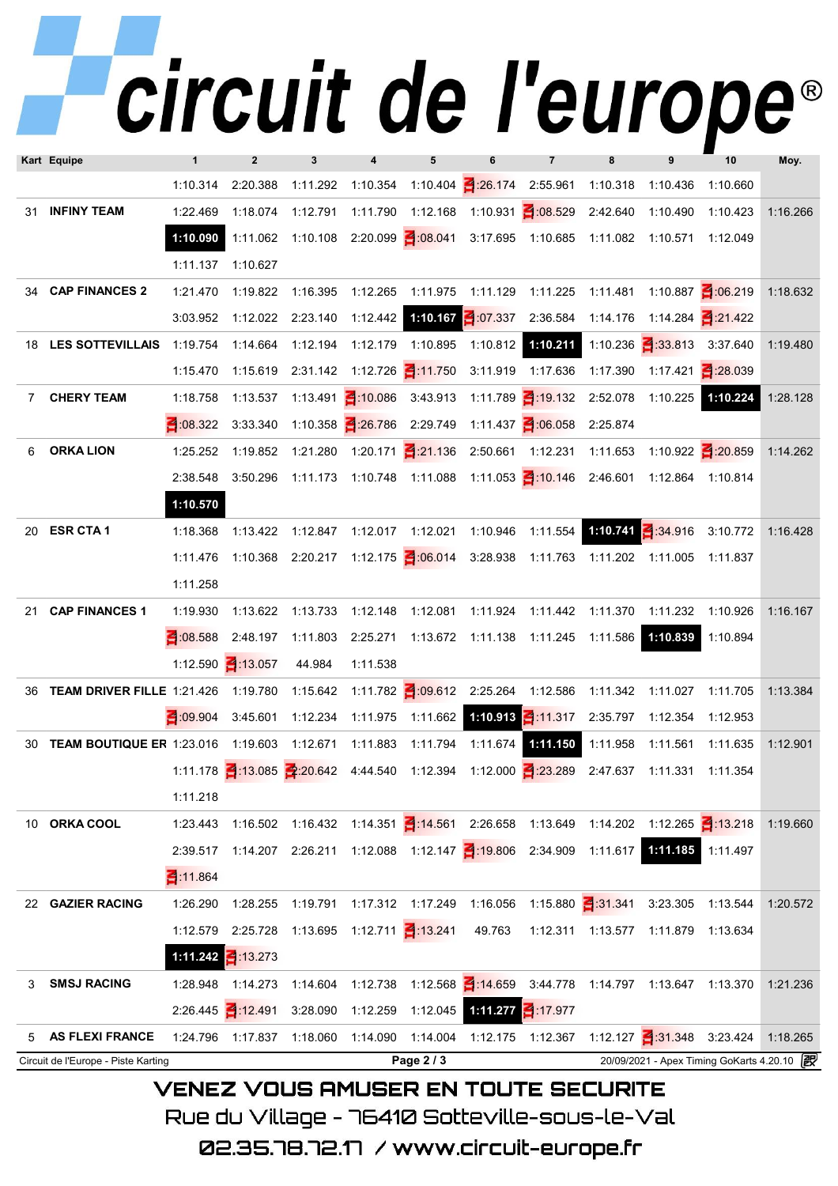## Teircuit de l'europe

|    | Kart Equipe                                                                                                    | $\mathbf{1}$           | $\overline{2}$    | 3                            |                              | 5          | ĥ                          | $\overline{7}$                                                                            | 9                                                 | 10       | Moy.     |
|----|----------------------------------------------------------------------------------------------------------------|------------------------|-------------------|------------------------------|------------------------------|------------|----------------------------|-------------------------------------------------------------------------------------------|---------------------------------------------------|----------|----------|
|    |                                                                                                                | 1:10.314               | 2:20.388          |                              |                              |            |                            | 1:11.292 1:10.354 1:10.404 1:26.174 2:55.961 1:10.318 1:10.436 1:10.660                   |                                                   |          |          |
|    | 31 INFINY TEAM                                                                                                 | 1:22.469               |                   |                              | 1:18.074  1:12.791  1:11.790 |            |                            | 1:12.168  1:10.931  1:08.529  2:42.640                                                    | 1:10.490 1:10.423                                 |          | 1:16.266 |
|    |                                                                                                                | 1:10.090               |                   |                              |                              |            |                            | 1:11.062 1:10.108 2:20.099 0:08.041 3:17.695 1:10.685 1:11.082 1:10.571 1:12.049          |                                                   |          |          |
|    |                                                                                                                | 1:11.137 1:10.627      |                   |                              |                              |            |                            |                                                                                           |                                                   |          |          |
|    | 34 CAP FINANCES 2                                                                                              | 1:21.470               | 1:19.822          |                              |                              |            |                            | 1:16.395  1:12.265  1:11.975  1:11.129  1:11.225  1:11.481  1:10.887  1:06.219            |                                                   |          | 1:18.632 |
|    |                                                                                                                | 3:03.952               | 1:12.022 2:23.140 |                              |                              |            |                            | 1:12.442 <b>1:10.167</b> 1:07.337  2:36.584  1:14.176  1:14.284  2:21.422                 |                                                   |          |          |
|    | 18 LES SOTTEVILLAIS                                                                                            | 1:19.754               | 1:14.664          |                              |                              |            |                            | 1:12.194  1:12.179  1:10.895  1:10.812  1:10.211  1:10.236  3:3813  3:37.640              |                                                   |          | 1:19.480 |
|    |                                                                                                                | 1:15.470               |                   |                              |                              |            |                            | 1:15.619 2:31.142 1:12.726 3:11.750 3:11.919 1:17.636 1:17.390 1:17.421 3:8.039           |                                                   |          |          |
|    | 7 CHERY TEAM                                                                                                   | 1:18.758               |                   |                              |                              |            |                            | 1:13.537 1:13.491 3:10.086 3:43.913 1:11.789 3:19.132 2:52.078 1:10.225 1:10.224          |                                                   |          | 1:28.128 |
|    |                                                                                                                | 322                    |                   |                              |                              |            |                            | 3:33.340 1:10.358 3:26.786 2:29.749 1:11.437 3:06.058 2:25.874                            |                                                   |          |          |
| 6  | <b>ORKA LION</b>                                                                                               | 1:25.252               |                   |                              |                              |            |                            | 1:19.852 1:21.280 1:20.171 3:21.136 2:50.661 1:12.231 1:11.653 1:10.922 3:20.859          |                                                   |          | 1:14.262 |
|    |                                                                                                                |                        |                   |                              |                              |            |                            | 2:38.548 3:50.296 1:11.173 1:10.748 1:11.088 1:11.053 3:10.146 2:46.601 1:12.864 1:10.814 |                                                   |          |          |
|    |                                                                                                                | 1:10.570               |                   |                              |                              |            |                            |                                                                                           |                                                   |          |          |
|    | 20 ESR CTA 1                                                                                                   | 1:18.368               |                   |                              |                              |            |                            | 1:13.422 1:12.847 1:12.017 1:12.021 1:10.946 1:11.554 1:10.741 3:34.916 3:10.772          |                                                   |          | 1:16.428 |
|    |                                                                                                                |                        |                   |                              |                              |            |                            | 1:11.476 1:10.368 2:20.217 1:12.175 1:06.014 3:28.938 1:11.763 1:11.202 1:11.005 1:11.837 |                                                   |          |          |
|    |                                                                                                                | 1:11.258               |                   |                              |                              |            |                            |                                                                                           |                                                   |          |          |
| 21 | <b>CAP FINANCES 1</b>                                                                                          | 1:19.930               |                   | 1:13.622  1:13.733  1:12.148 |                              |            |                            | 1:12.081  1:11.924  1:11.442  1:11.370  1:11.232  1:10.926                                |                                                   |          | 1:16.167 |
|    |                                                                                                                |                        |                   |                              |                              |            |                            | 2 08.588 2:48.197 1:11.803 2:25.271 1:13.672 1:11.138 1:11.245 1:11.586 1:10.839          |                                                   | 1:10.894 |          |
|    |                                                                                                                | 1:12.590 1:13.057      |                   | 44.984                       | 1:11.538                     |            |                            |                                                                                           |                                                   |          |          |
|    | 36 TEAM DRIVER FILLE 1:21.426 1:19.780 1:15.642 1:11.782 1:09.612 2:25.264 1:12.586 1:11.342 1:11.027 1:11.705 |                        |                   |                              |                              |            |                            |                                                                                           |                                                   |          | 1:13.384 |
|    |                                                                                                                | 3 09.904               |                   |                              |                              |            |                            | 3:45.601 1:12.234 1:11.975 1:11.662 1:10.913 1:11.317 2:35.797 1:12.354 1:12.953          |                                                   |          |          |
|    | 30 TEAM BOUTIQUE ER 1:23.016 1:19.603 1:12.671 1:11.883 1:11.794 1:11.674 1:11.150 1:11.958                    |                        |                   |                              |                              |            |                            |                                                                                           | 1:11.561  1:11.635                                |          | 1:12.901 |
|    |                                                                                                                |                        |                   |                              |                              |            |                            | 1:11.178 1:13.085 2:20.642 4:44.540 1:12.394 1:12.000 1:23.289 2:47.637 1:11.331 1:11.354 |                                                   |          |          |
|    |                                                                                                                | 1:11.218               |                   |                              |                              |            |                            |                                                                                           |                                                   |          |          |
|    | 10 ORKA COOL                                                                                                   | 1:23.443               |                   |                              |                              |            |                            | 1:16.502 1:16.432 1:14.351 4:14.561 2:26.658 1:13.649 1:14.202 1:12.265 4:13.218          |                                                   |          | 1:19.660 |
|    |                                                                                                                | 2:39.517               |                   |                              |                              |            |                            | 1:14.207 2:26.211 1:12.088 1:12.147 1:19.806 2:34.909 1:11.617 1:11.185 1:11.497          |                                                   |          |          |
|    |                                                                                                                | 3 11.864               |                   |                              |                              |            |                            |                                                                                           |                                                   |          |          |
|    | 22 GAZIER RACING                                                                                               | 1:26.290               |                   |                              |                              |            |                            | 1:28.255 1:19.791 1:17.312 1:17.249 1:16.056 1:15.880 3:1.341 3:23.305 1:13.544           |                                                   |          | 1:20.572 |
|    |                                                                                                                | 1:12.579               | 2:25.728          |                              |                              |            | 49.763                     |                                                                                           | 1:12.311  1:13.577  1:11.879  1:13.634            |          |          |
|    |                                                                                                                | 1:11.242 $\leq$ 13.273 |                   |                              |                              |            |                            |                                                                                           |                                                   |          |          |
| 3  | <b>SMSJ RACING</b>                                                                                             | 1:28.948               | 1:14.273          | 1:14.604                     |                              |            |                            | 1:12.738  1:12.568  1:14.659  3:44.778  1:14.797  1:13.647  1:13.370                      |                                                   |          | 1:21.236 |
|    |                                                                                                                |                        | $2:26.445$ 12.491 | 3:28.090                     | 1:12.259                     |            | 1:12.045 1:11.277 1:17.977 |                                                                                           |                                                   |          |          |
| 5  | <b>AS FLEXI FRANCE</b>                                                                                         | 1:24.796               | 1:17.837          | 1:18.060                     |                              |            |                            | 1:14.090  1:14.004  1:12.175  1:12.367  1:12.127  1:31.348  3:23.424                      |                                                   |          | 1:18.265 |
|    | Circuit de l'Europe - Piste Karting                                                                            |                        |                   |                              |                              | Page 2 / 3 |                            |                                                                                           | 20/09/2021 - Apex Timing GoKarts 4.20.10 <b>图</b> |          |          |

## **VENEZ VOUS AMUSER EN TOUTE SECURITE**

Rue du Village – 76410 Sotteville-sous-le-Val

02.35.78.72.17 /www.circuit-europe.fr